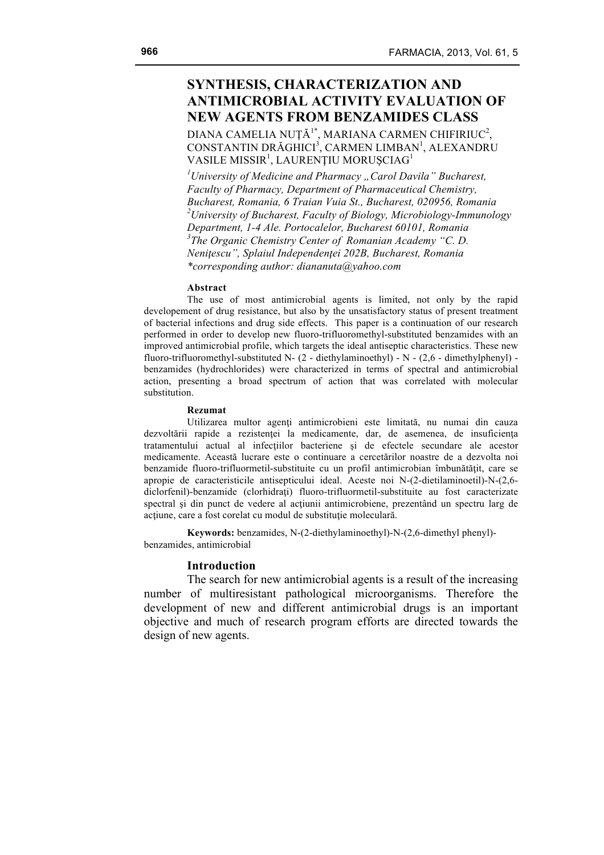# **SYNTHESIS, CHARACTERIZATION AND ANTIMICROBIAL ACTIVITY EVALUATION OF NEW AGENTS FROM BENZAMIDES CLASS**

DIANA CAMELIA NUȚĂ<sup>1\*</sup>, MARIANA CARMEN CHIFIRIUC<sup>2</sup>, CONSTANTIN DRĂGHICI<sup>3</sup>, CARMEN LIMBAN<sup>1</sup>, ALEXANDRU VASILE MISSIR<sup>1</sup>, LAURENȚIU MORUȘCIAG<sup>1</sup>

<sup>1</sup> University of Medicine and Pharmacy "Carol Davila" Bucharest, *Faculty of Pharmacy, Department of Pharmaceutical Chemistry, Bucharest, Romania, 6 Traian Vuia St., Bucharest, 020956, Romania 2 University of Bucharest, Faculty of Biology, Microbiology-Immunology Department, 1-4 Ale. Portocalelor, Bucharest 60101, Romania 3 The Organic Chemistry Center of Romanian Academy "C. D. Neniţescu", Splaiul Independenţei 202B, Bucharest, Romania \*corresponding author: diananuta@yahoo.com*

#### **Abstract**

The use of most antimicrobial agents is limited, not only by the rapid developement of drug resistance, but also by the unsatisfactory status of present treatment of bacterial infections and drug side effects. This paper is a continuation of our research performed in order to develop new fluoro-trifluoromethyl-substituted benzamides with an improved antimicrobial profile, which targets the ideal antiseptic characteristics. These new fluoro-trifluoromethyl-substituted N- (2 - diethylaminoethyl) - N - (2,6 - dimethylphenyl) benzamides (hydrochlorides) were characterized in terms of spectral and antimicrobial action, presenting a broad spectrum of action that was correlated with molecular substitution.

### **Rezumat**

Utilizarea multor agenţi antimicrobieni este limitată, nu numai din cauza dezvoltării rapide a rezistenţei la medicamente, dar, de asemenea, de insuficienţa tratamentului actual al infecţiilor bacteriene şi de efectele secundare ale acestor medicamente. Această lucrare este o continuare a cercetărilor noastre de a dezvolta noi benzamide fluoro-trifluormetil-substituite cu un profil antimicrobian îmbunătăţit, care se apropie de caracteristicile antisepticului ideal. Aceste noi N-(2-dietilaminoetil)-N-(2,6 diclorfenil)-benzamide (clorhidrati) fluoro-trifluormetil-substituite au fost caracterizate spectral şi din punct de vedere al acţiunii antimicrobiene, prezentând un spectru larg de acţiune, care a fost corelat cu modul de substituţie moleculară.

**Keywords:** benzamides, N-(2-diethylaminoethyl)-N-(2,6-dimethyl phenyl) benzamides, antimicrobial

### **Introduction**

The search for new antimicrobial agents is a result of the increasing number of multiresistant pathological microorganisms. Therefore the development of new and different antimicrobial drugs is an important objective and much of research program efforts are directed towards the design of new agents.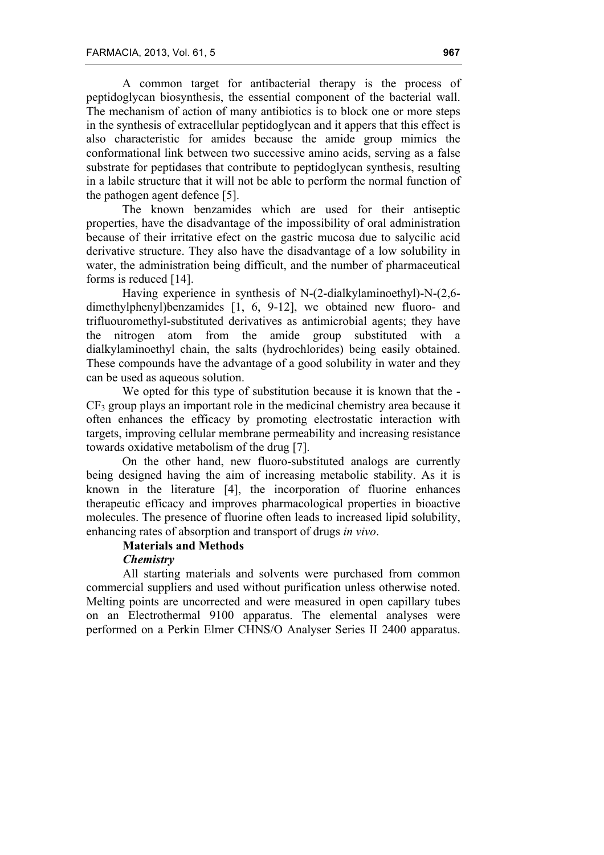A common target for antibacterial therapy is the process of peptidoglycan biosynthesis, the essential component of the bacterial wall. The mechanism of action of many antibiotics is to block one or more steps in the synthesis of extracellular peptidoglycan and it appers that this effect is also characteristic for amides because the amide group mimics the conformational link between two successive amino acids, serving as a false substrate for peptidases that contribute to peptidoglycan synthesis, resulting in a labile structure that it will not be able to perform the normal function of the pathogen agent defence [5].

The known benzamides which are used for their antiseptic properties, have the disadvantage of the impossibility of oral administration because of their irritative efect on the gastric mucosa due to salycilic acid derivative structure. They also have the disadvantage of a low solubility in water, the administration being difficult, and the number of pharmaceutical forms is reduced [14].

Having experience in synthesis of N-(2-dialkylaminoethyl)-N-(2,6 dimethylphenyl)benzamides [1, 6, 9-12], we obtained new fluoro- and trifluouromethyl-substituted derivatives as antimicrobial agents; they have the nitrogen atom from the amide group substituted with a dialkylaminoethyl chain, the salts (hydrochlorides) being easily obtained. These compounds have the advantage of a good solubility in water and they can be used as aqueous solution.

We opted for this type of substitution because it is known that the - CF3 group plays an important role in the medicinal chemistry area because it often enhances the efficacy by promoting electrostatic interaction with targets, improving cellular membrane permeability and increasing resistance towards oxidative metabolism of the drug [7].

On the other hand, new fluoro-substituted analogs are currently being designed having the aim of increasing metabolic stability. As it is known in the literature [4], the incorporation of fluorine enhances therapeutic efficacy and improves pharmacological properties in bioactive molecules. The presence of fluorine often leads to increased lipid solubility, enhancing rates of absorption and transport of drugs *in vivo*.

# **Materials and Methods**

### *Chemistry*

All starting materials and solvents were purchased from common commercial suppliers and used without purification unless otherwise noted. Melting points are uncorrected and were measured in open capillary tubes on an Electrothermal 9100 apparatus. The elemental analyses were performed on a Perkin Elmer CHNS/O Analyser Series II 2400 apparatus.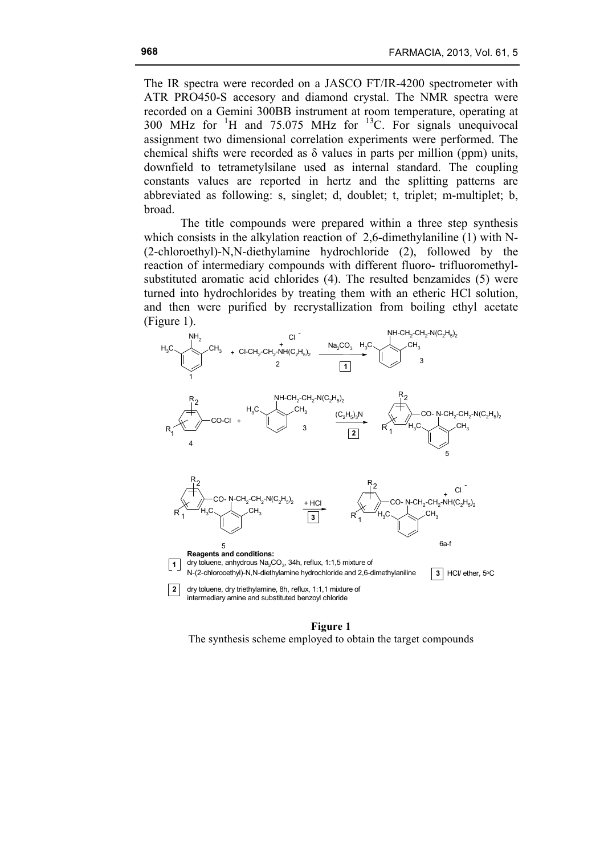The IR spectra were recorded on a JASCO FT/IR-4200 spectrometer with ATR PRO450-S accesory and diamond crystal. The NMR spectra were recorded on a Gemini 300BB instrument at room temperature, operating at 300 MHz for  ${}^{1}$ H and 75.075 MHz for  ${}^{13}$ C. For signals unequivocal assignment two dimensional correlation experiments were performed. The chemical shifts were recorded as  $\delta$  values in parts per million (ppm) units, downfield to tetrametylsilane used as internal standard. The coupling constants values are reported in hertz and the splitting patterns are abbreviated as following: s, singlet; d, doublet; t, triplet; m-multiplet; b, broad.

The title compounds were prepared within a three step synthesis which consists in the alkylation reaction of 2,6-dimethylaniline (1) with N-(2-chloroethyl)-N,N-diethylamine hydrochloride (2), followed by the reaction of intermediary compounds with different fluoro- trifluoromethylsubstituted aromatic acid chlorides (4). The resulted benzamides (5) were turned into hydrochlorides by treating them with an etheric HCl solution, and then were purified by recrystallization from boiling ethyl acetate (Figure 1).



**Figure 1** The synthesis scheme employed to obtain the target compounds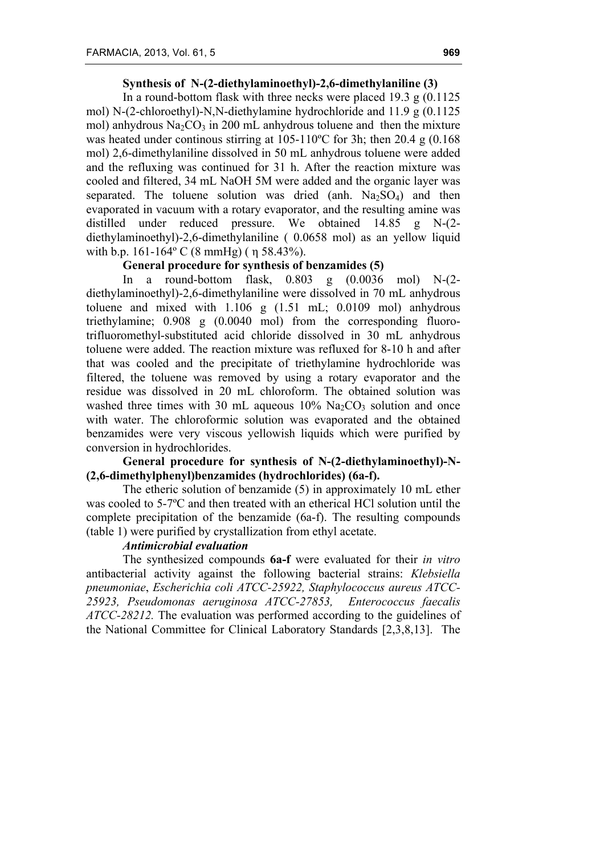# **Synthesis of N-(2-diethylaminoethyl)-2,6-dimethylaniline (3)**

In a round-bottom flask with three necks were placed 19.3 g  $(0.1125)$ mol) N-(2-chloroethyl)-N,N-diethylamine hydrochloride and 11.9 g (0.1125 mol) anhydrous  $Na<sub>2</sub>CO<sub>3</sub>$  in 200 mL anhydrous toluene and then the mixture was heated under continous stirring at 105-110ºC for 3h; then 20.4 g (0.168 mol) 2,6-dimethylaniline dissolved in 50 mL anhydrous toluene were added and the refluxing was continued for 31 h. After the reaction mixture was cooled and filtered, 34 mL NaOH 5M were added and the organic layer was separated. The toluene solution was dried (anh.  $Na<sub>2</sub>SO<sub>4</sub>$ ) and then evaporated in vacuum with a rotary evaporator, and the resulting amine was distilled under reduced pressure. We obtained 14.85 g N-(2 diethylaminoethyl)-2,6-dimethylaniline ( 0.0658 mol) as an yellow liquid with b.p. 161-164º C (8 mmHg) ( η 58.43%).

# **General procedure for synthesis of benzamides (5)**

In a round-bottom flask, 0.803 g (0.0036 mol) N-(2 diethylaminoethyl)-2,6-dimethylaniline were dissolved in 70 mL anhydrous toluene and mixed with 1.106 g (1.51 mL; 0.0109 mol) anhydrous triethylamine; 0.908 g (0.0040 mol) from the corresponding fluorotrifluoromethyl-substituted acid chloride dissolved in 30 mL anhydrous toluene were added. The reaction mixture was refluxed for 8-10 h and after that was cooled and the precipitate of triethylamine hydrochloride was filtered, the toluene was removed by using a rotary evaporator and the residue was dissolved in 20 mL chloroform. The obtained solution was washed three times with 30 mL aqueous  $10\%$  Na<sub>2</sub>CO<sub>3</sub> solution and once with water. The chloroformic solution was evaporated and the obtained benzamides were very viscous yellowish liquids which were purified by conversion in hydrochlorides.

# **General procedure for synthesis of N-(2-diethylaminoethyl)-N- (2,6-dimethylphenyl)benzamides (hydrochlorides) (6a-f).**

The etheric solution of benzamide (5) in approximately 10 mL ether was cooled to 5-7ºC and then treated with an etherical HCl solution until the complete precipitation of the benzamide (6a-f). The resulting compounds (table 1) were purified by crystallization from ethyl acetate.

# *Antimicrobial evaluation*

The synthesized compounds **6a-f** were evaluated for their *in vitro*  antibacterial activity against the following bacterial strains: *Klebsiella pneumoniae*, *Escherichia coli ATCC-25922, Staphylococcus aureus ATCC-25923, Pseudomonas aeruginosa ATCC-27853, Enterococcus faecalis ATCC-28212.* The evaluation was performed according to the guidelines of the National Committee for Clinical Laboratory Standards [2,3,8,13]. The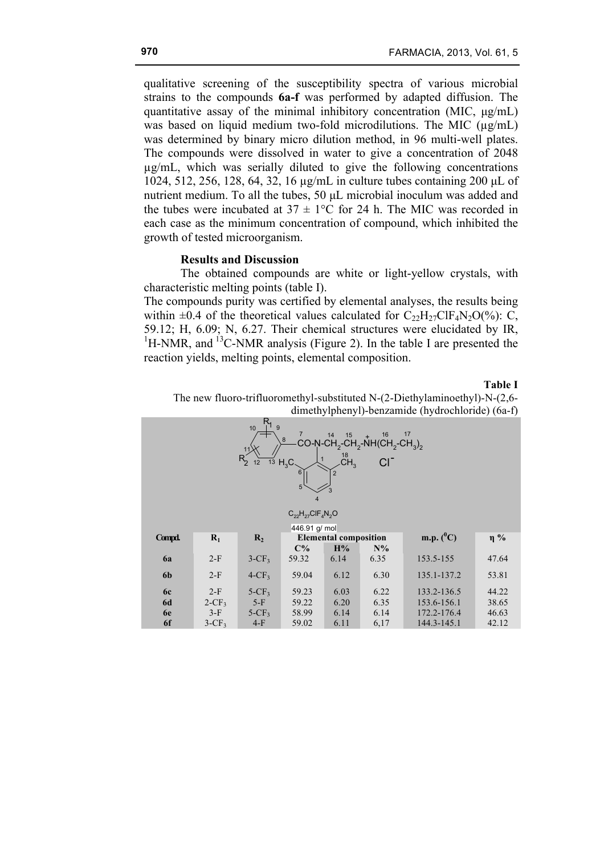qualitative screening of the susceptibility spectra of various microbial strains to the compounds **6a-f** was performed by adapted diffusion. The quantitative assay of the minimal inhibitory concentration (MIC, µg/mL) was based on liquid medium two-fold microdilutions. The MIC ( $\mu$ g/mL) was determined by binary micro dilution method, in 96 multi-well plates. The compounds were dissolved in water to give a concentration of 2048 µg/mL, which was serially diluted to give the following concentrations 1024, 512, 256, 128, 64, 32, 16 µg/mL in culture tubes containing 200 µL of nutrient medium. To all the tubes, 50 µL microbial inoculum was added and the tubes were incubated at  $37 \pm 1$ °C for 24 h. The MIC was recorded in each case as the minimum concentration of compound, which inhibited the growth of tested microorganism.

### **Results and Discussion**

The obtained compounds are white or light-yellow crystals, with characteristic melting points (table I).

The compounds purity was certified by elemental analyses, the results being within  $\pm 0.4$  of the theoretical values calculated for  $C_{22}H_{27}CIF_4N_2O(\%)$ : C, 59.12; H, 6.09; N, 6.27. Their chemical structures were elucidated by IR,  ${}^{1}$ H-NMR, and  ${}^{13}$ C-NMR analysis (Figure 2). In the table I are presented the reaction yields, melting points, elemental composition.

### **Table I**

The new fluoro-trifluoromethyl-substituted N-(2-Diethylaminoethyl)-N-(2,6 dimethylphenyl)-benzamide (hydrochloride) (6a-f)

| $R_{19}$<br>10<br>$\overline{7}$<br>17<br>16<br>14<br>15<br>8<br>CO-N-CH <sub>2</sub> -CH <sub>2</sub> -NH(CH <sub>2</sub> -CH <sub>3</sub> ) <sub>2</sub><br>18<br>$R_{2}$<br>CH <sub>3</sub><br>$\overline{13}$ H <sub>3</sub> C<br>6<br>$\overline{2}$<br>5<br>$\overline{4}$<br>$C_{22}H_{27}CIF_AN_2O$ |                   |                      |                |                              |              |                            |                |  |  |  |
|-------------------------------------------------------------------------------------------------------------------------------------------------------------------------------------------------------------------------------------------------------------------------------------------------------------|-------------------|----------------------|----------------|------------------------------|--------------|----------------------------|----------------|--|--|--|
| 446.91 g/ mol                                                                                                                                                                                                                                                                                               |                   |                      |                |                              |              |                            |                |  |  |  |
| Compd.                                                                                                                                                                                                                                                                                                      | $R_1$             | R <sub>2</sub>       |                | <b>Elemental composition</b> |              | m.p. $(^0C)$               | $\eta$ %       |  |  |  |
|                                                                                                                                                                                                                                                                                                             |                   |                      | $C\%$          | H%                           | $N\%$        |                            |                |  |  |  |
| 6a                                                                                                                                                                                                                                                                                                          | $2-F$             | $3-CF3$              | 59.32          | 6.14                         | 6.35         | 153.5-155                  | 47.64          |  |  |  |
| 6 <sub>b</sub>                                                                                                                                                                                                                                                                                              | $2-F$             | $4$ -CF <sub>3</sub> | 59.04          | 6.12                         | 6.30         | 135.1-137.2                | 53.81          |  |  |  |
| <b>6c</b>                                                                                                                                                                                                                                                                                                   | $2-F$             | $5-CF_3$             | 59.23          | 6.03                         | 6.22         | 133.2-136.5                | 44.22          |  |  |  |
| <b>6d</b>                                                                                                                                                                                                                                                                                                   | $2-CF_3$          | $5-F$                | 59.22          | 6.20                         | 6.35         | 153.6-156.1                | 38.65          |  |  |  |
| 6e<br>6f                                                                                                                                                                                                                                                                                                    | $3-F$<br>$3-CF_3$ | $5-CF3$<br>$4-F$     | 58.99<br>59.02 | 6.14<br>6.11                 | 6.14<br>6,17 | 172.2-176.4<br>144.3-145.1 | 46.63<br>42.12 |  |  |  |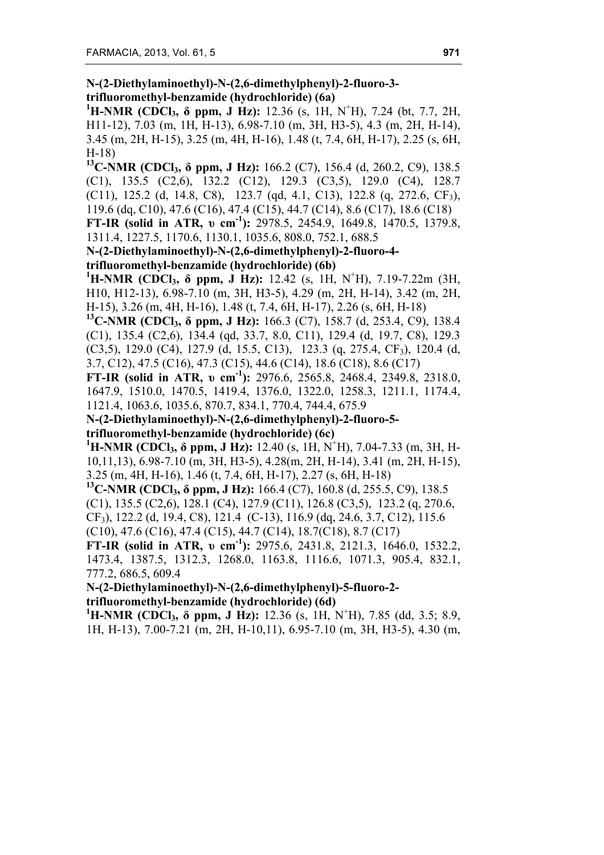**N-(2-Diethylaminoethyl)-N-(2,6-dimethylphenyl)-2-fluoro-3 trifluoromethyl-benzamide (hydrochloride) (6a)**

**1 H-NMR (CDCl3, δ ppm, J Hz):** 12.36 (s, 1H, N<sup>+</sup> H), 7.24 (bt, 7.7, 2H, H11-12), 7.03 (m, 1H, H-13), 6.98-7.10 (m, 3H, H3-5), 4.3 (m, 2H, H-14), 3.45 (m, 2H, H-15), 3.25 (m, 4H, H-16), 1.48 (t, 7.4, 6H, H-17), 2.25 (s, 6H, H-18)

**13C-NMR (CDCl3, δ ppm, J Hz):** 166.2 (C7), 156.4 (d, 260.2, C9), 138.5 (C1), 135.5 (C2,6), 132.2 (C12), 129.3 (C3,5), 129.0 (C4), 128.7 (C11), 125.2 (d, 14.8, C8), 123.7 (qd, 4.1, C13), 122.8 (q, 272.6, CF<sub>3</sub>), 119.6 (dq, C10), 47.6 (C16), 47.4 (C15), 44.7 (C14), 8.6 (C17), 18.6 (C18)

**FT-IR (solid in ATR, υ cm-1 ):** 2978.5, 2454.9, 1649.8, 1470.5, 1379.8, 1311.4, 1227.5, 1170.6, 1130.1, 1035.6, 808.0, 752.1, 688.5

**N-(2-Diethylaminoethyl)-N-(2,6-dimethylphenyl)-2-fluoro-4 trifluoromethyl-benzamide (hydrochloride) (6b)**

**1 H-NMR (CDCl3, δ ppm, J Hz):** 12.42 (s, 1H, N<sup>+</sup> H), 7.19-7.22m (3H, H10, H12-13), 6.98-7.10 (m, 3H, H3-5), 4.29 (m, 2H, H-14), 3.42 (m, 2H, H-15), 3.26 (m, 4H, H-16), 1.48 (t, 7.4, 6H, H-17), 2.26 (s, 6H, H-18)

**13C-NMR (CDCl3, δ ppm, J Hz):** 166.3 (C7), 158.7 (d, 253.4, C9), 138.4 (C1), 135.4 (C2,6), 134.4 (qd, 33.7, 8.0, C11), 129.4 (d, 19.7, C8), 129.3  $(C3,5)$ , 129.0  $(C4)$ , 127.9  $(d, 15.5, C13)$ , 123.3  $(q, 275.4, CF_3)$ , 120.4  $(d,$ 3.7, C12), 47.5 (C16), 47.3 (C15), 44.6 (C14), 18.6 (C18), 8.6 (C17)

**FT-IR (solid in ATR, υ cm-1 ):** 2976.6, 2565.8, 2468.4, 2349.8, 2318.0, 1647.9, 1510.0, 1470.5, 1419.4, 1376.0, 1322.0, 1258.3, 1211.1, 1174.4, 1121.4, 1063.6, 1035.6, 870.7, 834.1, 770.4, 744.4, 675.9

**N-(2-Diethylaminoethyl)-N-(2,6-dimethylphenyl)-2-fluoro-5 trifluoromethyl-benzamide (hydrochloride) (6c)**

**1 H-NMR (CDCl3, δ ppm, J Hz):** 12.40 (s, 1H, N<sup>+</sup> H), 7.04-7.33 (m, 3H, H-10,11,13), 6.98-7.10 (m, 3H, H3-5), 4.28(m, 2H, H-14), 3.41 (m, 2H, H-15), 3.25 (m, 4H, H-16), 1.46 (t, 7.4, 6H, H-17), 2.27 (s, 6H, H-18)

**13C-NMR (CDCl3, δ ppm, J Hz):** 166.4 (C7), 160.8 (d, 255.5, C9), 138.5 (C1), 135.5 (C2,6), 128.1 (C4), 127.9 (C11), 126.8 (C3,5), 123.2 (q, 270.6, CF3), 122.2 (d, 19.4, C8), 121.4 (C-13), 116.9 (dq, 24.6, 3.7, C12), 115.6 (C10), 47.6 (C16), 47.4 (C15), 44.7 (C14), 18.7(C18), 8.7 (C17)

**FT-IR (solid in ATR, υ cm-1 ):** 2975.6, 2431.8, 2121.3, 1646.0, 1532.2, 1473.4, 1387.5, 1312.3, 1268.0, 1163.8, 1116.6, 1071.3, 905.4, 832.1, 777.2, 686.5, 609.4

**N-(2-Diethylaminoethyl)-N-(2,6-dimethylphenyl)-5-fluoro-2 trifluoromethyl-benzamide (hydrochloride) (6d)**

**1 H-NMR (CDCl3, δ ppm, J Hz):** 12.36 (s, 1H, N<sup>+</sup> H), 7.85 (dd, 3.5; 8.9, 1H, H-13), 7.00-7.21 (m, 2H, H-10,11), 6.95-7.10 (m, 3H, H3-5), 4.30 (m,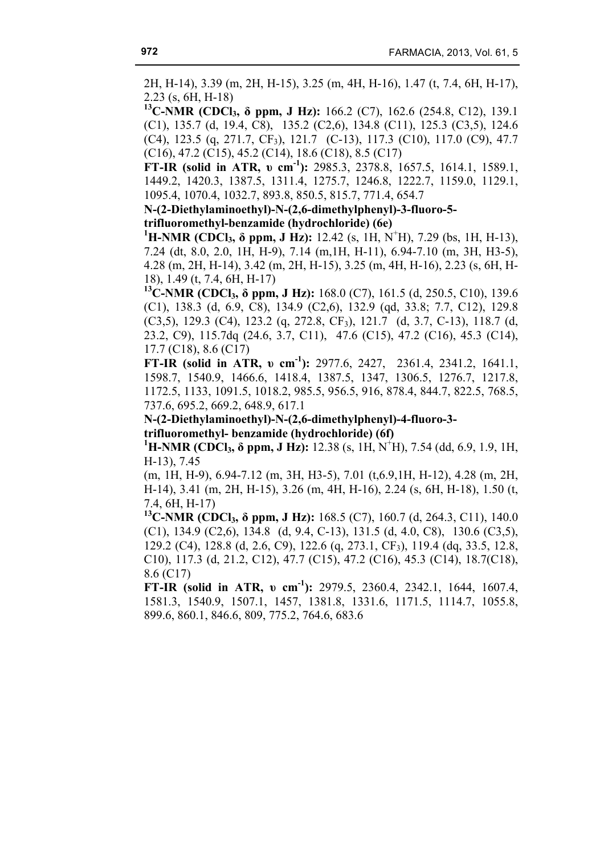2H, H-14), 3.39 (m, 2H, H-15), 3.25 (m, 4H, H-16), 1.47 (t, 7.4, 6H, H-17), 2.23 (s, 6H, H-18)

**13C-NMR (CDCl3, δ ppm, J Hz):** 166.2 (C7), 162.6 (254.8, C12), 139.1 (C1), 135.7 (d, 19.4, C8), 135.2 (C2,6), 134.8 (C11), 125.3 (C3,5), 124.6 (C4), 123.5 (q, 271.7, CF3), 121.7 (C-13), 117.3 (C10), 117.0 (C9), 47.7 (C16), 47.2 (C15), 45.2 (C14), 18.6 (C18), 8.5 (C17)

**FT-IR (solid in ATR, υ cm-1 ):** 2985.3, 2378.8, 1657.5, 1614.1, 1589.1, 1449.2, 1420.3, 1387.5, 1311.4, 1275.7, 1246.8, 1222.7, 1159.0, 1129.1, 1095.4, 1070.4, 1032.7, 893.8, 850.5, 815.7, 771.4, 654.7

**N-(2-Diethylaminoethyl)-N-(2,6-dimethylphenyl)-3-fluoro-5 trifluoromethyl-benzamide (hydrochloride) (6e)**

**1 H-NMR (CDCl3, δ ppm, J Hz):** 12.42 (s, 1H, N<sup>+</sup> H), 7.29 (bs, 1H, H-13), 7.24 (dt, 8.0, 2.0, 1H, H-9), 7.14 (m,1H, H-11), 6.94-7.10 (m, 3H, H3-5), 4.28 (m, 2H, H-14), 3.42 (m, 2H, H-15), 3.25 (m, 4H, H-16), 2.23 (s, 6H, H-18), 1.49 (t, 7.4, 6H, H-17)

**13C-NMR (CDCl3, δ ppm, J Hz):** 168.0 (C7), 161.5 (d, 250.5, C10), 139.6 (C1), 138.3 (d, 6.9, C8), 134.9 (C2,6), 132.9 (qd, 33.8; 7.7, C12), 129.8 (C3,5), 129.3 (C4), 123.2 (q, 272.8, CF3), 121.7 (d, 3.7, C-13), 118.7 (d, 23.2, C9), 115.7dq (24.6, 3.7, C11), 47.6 (C15), 47.2 (C16), 45.3 (C14), 17.7 (C18), 8.6 (C17)

**FT-IR (solid in ATR, v cm<sup>-1</sup>):** 2977.6, 2427, 2361.4, 2341.2, 1641.1, 1598.7, 1540.9, 1466.6, 1418.4, 1387.5, 1347, 1306.5, 1276.7, 1217.8, 1172.5, 1133, 1091.5, 1018.2, 985.5, 956.5, 916, 878.4, 844.7, 822.5, 768.5, 737.6, 695.2, 669.2, 648.9, 617.1

**N-(2-Diethylaminoethyl)-N-(2,6-dimethylphenyl)-4-fluoro-3 trifluoromethyl- benzamide (hydrochloride) (6f)**

**1 H-NMR (CDCl3, δ ppm, J Hz):** 12.38 (s, 1H, N<sup>+</sup> H), 7.54 (dd, 6.9, 1.9, 1H, H-13), 7.45

(m, 1H, H-9), 6.94-7.12 (m, 3H, H3-5), 7.01 (t,6.9,1H, H-12), 4.28 (m, 2H, H-14), 3.41 (m, 2H, H-15), 3.26 (m, 4H, H-16), 2.24 (s, 6H, H-18), 1.50 (t, 7.4, 6H, H-17)

**13C-NMR (CDCl3, δ ppm, J Hz):** 168.5 (C7), 160.7 (d, 264.3, C11), 140.0 (C1), 134.9 (C2,6), 134.8 (d, 9.4, C-13), 131.5 (d, 4.0, C8), 130.6 (C3,5), 129.2 (C4), 128.8 (d, 2.6, C9), 122.6 (q, 273.1, CF3), 119.4 (dq, 33.5, 12.8, C10), 117.3 (d, 21.2, C12), 47.7 (C15), 47.2 (C16), 45.3 (C14), 18.7(C18), 8.6 (C17)

**FT-IR (solid in ATR, υ cm-1 ):** 2979.5, 2360.4, 2342.1, 1644, 1607.4, 1581.3, 1540.9, 1507.1, 1457, 1381.8, 1331.6, 1171.5, 1114.7, 1055.8, 899.6, 860.1, 846.6, 809, 775.2, 764.6, 683.6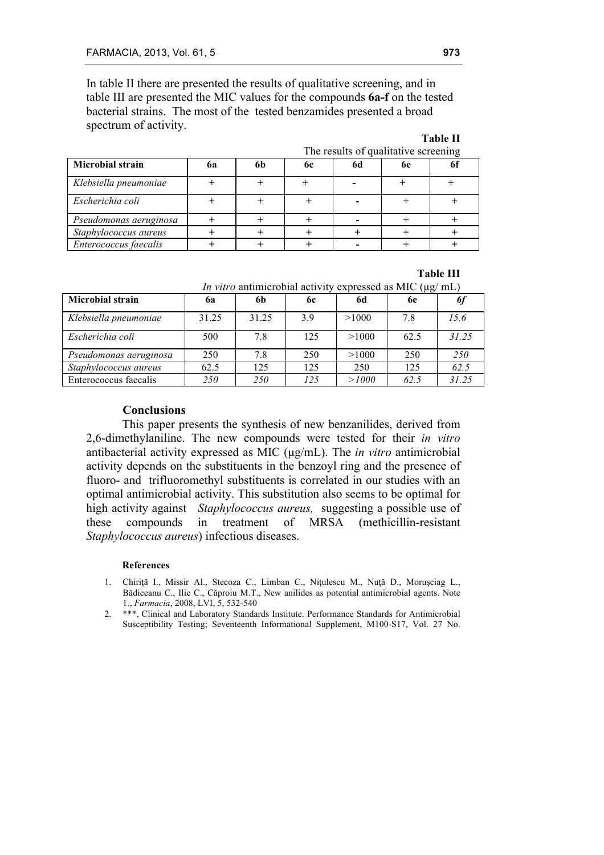In table II there are presented the results of qualitative screening, and in table III are presented the MIC values for the compounds **6a-f** on the tested bacterial strains. The most of the tested benzamides presented a broad spectrum of activity.

#### **Table II** The results of qualitative serecuring

| The results of qualitative screening |    |    |    |    |    |  |
|--------------------------------------|----|----|----|----|----|--|
| <b>Microbial strain</b>              | 6a | 6b | 6c | 6d | 6e |  |
| Klebsiella pneumoniae                |    |    |    |    |    |  |
| Escherichia coli                     |    |    |    |    |    |  |
| Pseudomonas aeruginosa               |    |    |    |    |    |  |
| Staphylococcus aureus                |    |    |    |    |    |  |
| Enterococcus faecalis                |    |    |    |    |    |  |

**Table III**

|  |  |  |  |  |  | <i>In vitro</i> antimicrobial activity expressed as MIC ( $\mu$ g/mL) |  |  |
|--|--|--|--|--|--|-----------------------------------------------------------------------|--|--|
|--|--|--|--|--|--|-----------------------------------------------------------------------|--|--|

|                         |       |       |           | $\sim$ |      |                  |
|-------------------------|-------|-------|-----------|--------|------|------------------|
| <b>Microbial strain</b> | 6а    | 6b    | <b>6c</b> | 6d     | 6e   | $\boldsymbol{0}$ |
| Klebsiella pneumoniae   | 31.25 | 31.25 | 3.9       | >1000  | 7.8  | 15.6             |
| Escherichia coli        | 500   | 7.8   | 125       | >1000  | 62.5 | 31 25            |
| Pseudomonas aeruginosa  | 250   | 7.8   | 250       | >1000  | 250  | <i>250</i>       |
| Staphylococcus aureus   | 62.5  | 125   | 125       | 250    | 125  | 62.5             |
| Enterococcus faecalis   | 250   | 250   | 125       | >1000  | 62.5 | 31 25            |

## **Conclusions**

This paper presents the synthesis of new benzanilides, derived from 2,6-dimethylaniline. The new compounds were tested for their *in vitro*  antibacterial activity expressed as MIC (µg/mL). The *in vitro* antimicrobial activity depends on the substituents in the benzoyl ring and the presence of fluoro- and trifluoromethyl substituents is correlated in our studies with an optimal antimicrobial activity. This substitution also seems to be optimal for high activity against *Staphylococcus aureus,* suggesting a possible use of these compounds in treatment of MRSA (methicillin-resistant *Staphylococcus aureus*) infectious diseases.

### **References**

- 1. Chiriţă I., Missir Al., Stecoza C., Limban C., Niţulescu M., Nuţă D., Moruşciag L., Bădiceanu C., Ilie C., Căproiu M.T., New anilides as potential antimicrobial agents. Note 1., *Farmacia*, 2008, LVI, 5, 532-540
- 2. \*\*\*, Clinical and Laboratory Standards Institute. Performance Standards for Antimicrobial Susceptibility Testing; Seventeenth Informational Supplement, M100-S17, Vol. 27 No.